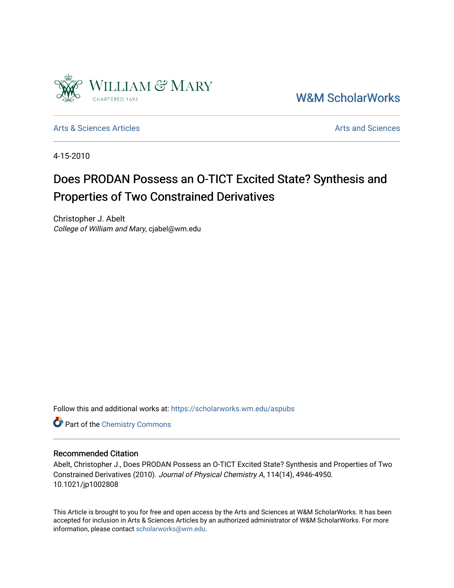

[W&M ScholarWorks](https://scholarworks.wm.edu/) 

[Arts & Sciences Articles](https://scholarworks.wm.edu/aspubs) **Articles** [Arts and Sciences](https://scholarworks.wm.edu/as) Arts and Sciences

4-15-2010

# Does PRODAN Possess an O-TICT Excited State? Synthesis and Properties of Two Constrained Derivatives

Christopher J. Abelt College of William and Mary, cjabel@wm.edu

Follow this and additional works at: [https://scholarworks.wm.edu/aspubs](https://scholarworks.wm.edu/aspubs?utm_source=scholarworks.wm.edu%2Faspubs%2F622&utm_medium=PDF&utm_campaign=PDFCoverPages) 

**Part of the Chemistry Commons** 

## Recommended Citation

Abelt, Christopher J., Does PRODAN Possess an O-TICT Excited State? Synthesis and Properties of Two Constrained Derivatives (2010). Journal of Physical Chemistry A, 114(14), 4946-4950. 10.1021/jp1002808

This Article is brought to you for free and open access by the Arts and Sciences at W&M ScholarWorks. It has been accepted for inclusion in Arts & Sciences Articles by an authorized administrator of W&M ScholarWorks. For more information, please contact [scholarworks@wm.edu](mailto:scholarworks@wm.edu).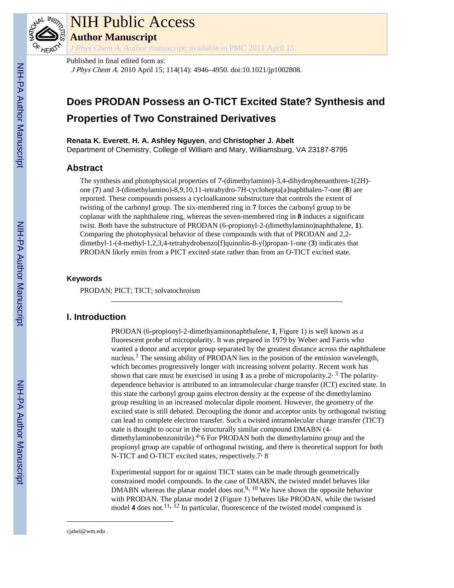

# NIH Public Access

**Author Manuscript**

*J Phys Chem A*. Author manuscript; available in PMC 2011 April 15.

## Published in final edited form as:

J Phys Chem A. 2010 April 15; 114(14): 4946–4950. doi:10.1021/jp1002808.

# **Does PRODAN Possess an O-TICT Excited State? Synthesis and Properties of Two Constrained Derivatives**

**Renata K. Everett**, **H. A. Ashley Nguyen**, and **Christopher J. Abelt**

Department of Chemistry, College of William and Mary, Williamsburg, VA 23187-8795

# **Abstract**

The synthesis and photophysical properties of 7-(dimethylamino)-3,4-dihydrophenanthren-1(2H) one (**7**) and 3-(dimethylamino)-8,9,10,11-tetrahydro-7H-cyclohepta[a]naphthalen-7-one (**8**) are reported. These compounds possess a cycloalkanone substructure that controls the extent of twisting of the carbonyl group. The six-membered ring in **7** forces the carbonyl group to be coplanar with the naphthalene ring, whereas the seven-membered ring in **8** induces a significant twist. Both have the substructure of PRODAN (6-propionyl-2-(dimethylamino)naphthalene, **1**). Comparing the photophysical behavior of these compounds with that of PRODAN and 2,2 dimethyl-1-(4-methyl-1,2,3,4-tetrahydrobenzo[f]quinolin-8-yl)propan-1-one (**3**) indicates that PRODAN likely emits from a PICT excited state rather than from an O-TICT excited state.

## **Keywords**

PRODAN; PICT; TICT; solvatochroism

# **I. Introduction**

PRODAN (6-propionyl-2-dimethyaminonaphthalene, **1**, Figure 1) is well known as a fluorescent probe of micropolarity. It was prepared in 1979 by Weber and Farris who wanted a donor and acceptor group separated by the greatest distance across the naphthalene nucleus.<sup>1</sup> The sensing ability of PRODAN lies in the position of the emission wavelength, which becomes progressively longer with increasing solvent polarity. Recent work has shown that care must be exercised in using 1 as a probe of micropolarity.2<sup>, 3</sup> The polaritydependence behavior is attributed to an intramolecular charge transfer (ICT) excited state. In this state the carbonyl group gains electron density at the expense of the dimethylamino group resulting in an increased molecular dipole moment. However, the geometry of the excited state is still debated. Decoupling the donor and acceptor units by orthogonal twisting can lead to complete electron transfer. Such a twisted intramolecular charge transfer (TICT) state is thought to occur in the structurally similar compound DMABN (4 dimethylaminobenzonitrile).<sup>4-</sup>6 For PRODAN both the dimethylamino group and the propionyl group are capable of orthogonal twisting, and there is theoretical support for both N-TICT and O-TICT excited states, respectively.7, 8

Experimental support for or against TICT states can be made through geometrically constrained model compounds. In the case of DMABN, the twisted model behaves like DMABN whereas the planar model does not.<sup>9, 10</sup> We have shown the opposite behavior with PRODAN. The planar model **2** (Figure 1) behaves like PRODAN, while the twisted model 4 does not.<sup>11,  $\overline{1}^2$  In particular, fluorescence of the twisted model compound is</sup>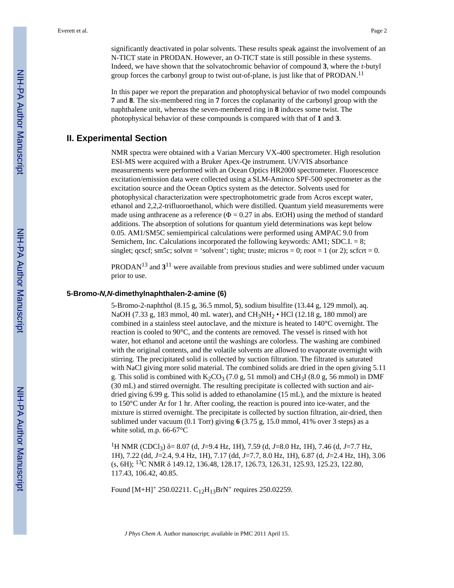significantly deactivated in polar solvents. These results speak against the involvement of an N-TICT state in PRODAN. However, an O-TICT state is still possible in these systems. Indeed, we have shown that the solvatochromic behavior of compound **3**, where the *t*-butyl group forces the carbonyl group to twist out-of-plane, is just like that of PRODAN.<sup>11</sup>

In this paper we report the preparation and photophysical behavior of two model compounds **7** and **8**. The six-membered ring in **7** forces the coplanarity of the carbonyl group with the naphthalene unit, whereas the seven-membered ring in **8** induces some twist. The photophysical behavior of these compounds is compared with that of **1** and **3**.

## **II. Experimental Section**

NMR spectra were obtained with a Varian Mercury VX-400 spectrometer. High resolution ESI-MS were acquired with a Bruker Apex-Qe instrument. UV/VIS absorbance measurements were performed with an Ocean Optics HR2000 spectrometer. Fluorescence excitation/emission data were collected using a SLM-Aminco SPF-500 spectrometer as the excitation source and the Ocean Optics system as the detector. Solvents used for photophysical characterization were spectrophotometric grade from Acros except water, ethanol and 2,2,2-trifluoroethanol, which were distilled. Quantum yield measurements were made using anthracene as a reference ( $\Phi = 0.27$  in abs. EtOH) using the method of standard additions. The absorption of solutions for quantum yield determinations was kept below 0.05. AM1/SM5C semiempirical calculations were performed using AMPAC 9.0 from Semichem, Inc. Calculations incorporated the following keywords: AM1; SDC.I. = 8; singlet;  $q\cscf$ ;  $\sin 5c$ ;  $\sinh c = \sinh c$ ;  $\sinh c$ ;  $\sinh c$ ;  $\sinh c$ ;  $\sinh c$ ;  $\sinh c$ ;  $\sinh c$ ;  $\sinh c$ ;  $\sinh c$ ;  $\sinh c$ ;  $\sinh c$ ;  $\sinh c$ ;  $\sinh c$ ;  $\sinh c$ ;  $\sinh c$ ;  $\sinh c$ ;  $\sinh c$ ;  $\sinh c$ ;  $\sinh c$ ;  $\sinh c$ ;  $\sinh c$ ;  $\sinh c$ ;  $\sinh c$ ;  $\sinh c$ 

PRODAN13 and **3** <sup>11</sup> were available from previous studies and were sublimed under vacuum prior to use.

#### **5-Bromo-***N,N***-dimethylnaphthalen-2-amine (6)**

5-Bromo-2-naphthol (8.15 g, 36.5 mmol, **5**), sodium bisulfite (13.44 g, 129 mmol), aq. NaOH (7.33 g, 183 mmol, 40 mL water), and CH<sub>3</sub>NH<sub>2</sub> • HCl (12.18 g, 180 mmol) are combined in a stainless steel autoclave, and the mixture is heated to 140°C overnight. The reaction is cooled to 90°C, and the contents are removed. The vessel is rinsed with hot water, hot ethanol and acetone until the washings are colorless. The washing are combined with the original contents, and the volatile solvents are allowed to evaporate overnight with stirring. The precipitated solid is collected by suction filtration. The filtrated is saturated with NaCl giving more solid material. The combined solids are dried in the open giving 5.11 g. This solid is combined with  $K_2CO_3$  (7.0 g, 51 mmol) and CH<sub>3</sub>I (8.0 g, 56 mmol) in DMF (30 mL) and stirred overnight. The resulting precipitate is collected with suction and airdried giving 6.99 g. This solid is added to ethanolamine (15 mL), and the mixture is heated to 150°C under Ar for 1 hr. After cooling, the reaction is poured into ice-water, and the mixture is stirred overnight. The precipitate is collected by suction filtration, air-dried, then sublimed under vacuum (0.1 Torr) giving **6** (3.75 g, 15.0 mmol, 41% over 3 steps) as a white solid, m.p. 66-67°C

<sup>1</sup>H NMR (CDCl3) δ= 8.07 (d, *J*=9.4 Hz, 1H), 7.59 (d, *J*=8.0 Hz, 1H), 7.46 (d, *J*=7.7 Hz, 1H), 7.22 (dd, *J*=2.4, 9.4 Hz, 1H), 7.17 (dd, *J*=7.7, 8.0 Hz, 1H), 6.87 (d, *J*=2.4 Hz, 1H), 3.06 (s, 6H); 13C NMR δ 149.12, 136.48, 128.17, 126.73, 126.31, 125.93, 125.23, 122.80, 117.43, 106.42, 40.85.

Found  $[M+H]^+$  250.02211.  $C_{12}H_{13}BrN^+$  requires 250.02259.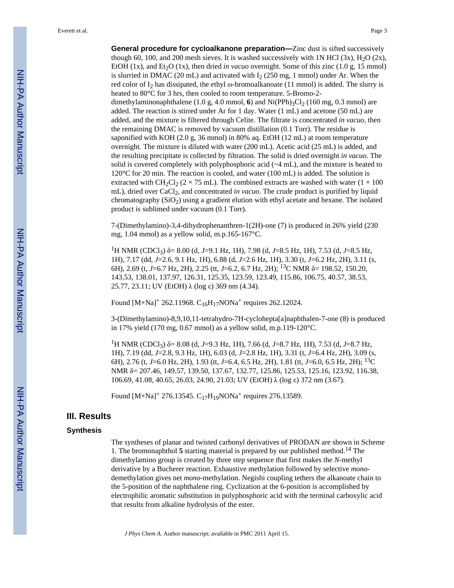**General procedure for cycloalkanone preparation—**Zinc dust is sifted successively though 60, 100, and 200 mesh sieves. It is washed successively with 1N HCl  $(3x)$ , H<sub>2</sub>O  $(2x)$ , EtOH  $(1x)$ , and Et<sub>2</sub>O  $(1x)$ , then dried *in vacuo* overnight. Some of this zinc  $(1.0 g, 15 mmol)$ is slurried in DMAC (20 mL) and activated with  $I_2$  (250 mg, 1 mmol) under Ar. When the red color of  $I_2$  has dissipated, the ethyl ω-bromoalkanoate (11 mmol) is added. The slurry is heated to 80°C for 3 hrs, then cooled to room temperature. 5-Bromo-2 dimethylaminonaphthalene (1.0 g, 4.0 mmol, 6) and  $Ni(PPh)_{3}Cl_{2}$  (160 mg, 0.3 mmol) are added. The reaction is stirred under Ar for 1 day. Water (1 mL) and acetone (50 mL) are added, and the mixture is filtered through Celite. The filtrate is concentrated *in vacuo*, then the remaining DMAC is removed by vacuum distillation (0.1 Torr). The residue is saponified with KOH (2.0 g, 36 mmol) in 80% aq. EtOH (12 mL) at room temperature overnight. The mixture is diluted with water (200 mL). Acetic acid (25 mL) is added, and the resulting precipitate is collected by filtration. The solid is dried overnight *in vacuo*. The solid is covered completely with polyphosphoric acid  $(\sim 4 \text{ mL})$ , and the mixture is heated to 120°C for 20 min. The reaction is cooled, and water (100 mL) is added. The solution is extracted with CH<sub>2</sub>Cl<sub>2</sub> ( $2 \times 75$  mL). The combined extracts are washed with water ( $1 \times 100$ ) mL), dried over CaCl<sub>2</sub>, and concentrated *in vacuo*. The crude product is purified by liquid chromatography  $(SiO<sub>2</sub>)$  using a gradient elution with ethyl acetate and hexane. The isolated product is sublimed under vacuum (0.1 Torr).

7-(Dimethylamino)-3,4-dihydrophenanthren-1(2H)-one (7) is produced in 26% yield (230 mg, 1.04 mmol) as a yellow solid, m.p.165-167°C.

<sup>1</sup>H NMR (CDCl3) δ= 8.00 (d, *J*=9.1 Hz, 1H), 7.98 (d, *J*=8.5 Hz, 1H), 7.53 (d, *J*=8.5 Hz, 1H), 7.17 (dd, *J*=2.6, 9.1 Hz, 1H), 6.88 (d, *J*=2.6 Hz, 1H), 3.30 (t, *J*=6.2 Hz, 2H), 3.11 (s, 6H), 2.69 (t, *J*=6.7 Hz, 2H), 2.25 (tt, *J*=6.2, 6.7 Hz, 2H); 13C NMR δ= 198.52, 150.20, 143.53, 138.01, 137.97, 126.31, 125.35, 123.59, 123.49, 115.86, 106.75, 40.57, 38.53, 25.77, 23.11; UV (EtOH) λ (log ε) 369 nm (4.34).

Found  $[M+Na]^+$  262.11968.  $C_{16}H_{17}NONa^+$  requires 262.12024.

3-(Dimethylamino)-8,9,10,11-tetrahydro-7H-cyclohepta[a]naphthalen-7-one (8) is produced in 17% yield (170 mg, 0.67 mmol) as a yellow solid, m.p.119-120°C.

<sup>1</sup>H NMR (CDCl3) δ= 8.08 (d, *J*=9.3 Hz, 1H), 7.66 (d, *J*=8.7 Hz, 1H), 7.53 (d, *J*=8.7 Hz, 1H), 7.19 (dd, *J*=2.8, 9.3 Hz, 1H), 6.03 (d, *J*=2.8 Hz, 1H), 3.31 (t, *J*=6.4 Hz, 2H), 3.09 (s, 6H), 2.76 (t, *J*=6.0 Hz, 2H), 1.93 (tt, *J*=6.4, 6.5 Hz, 2H), 1.81 (tt, *J*=6.0, 6.5 Hz, 2H); 13C NMR δ= 207.46, 149.57, 139.50, 137.67, 132.77, 125.86, 125.53, 125.16, 123.92, 116.38, 106.69, 41.08, 40.65, 26.03, 24.90, 21.03; UV (EtOH) λ (log ε) 372 nm (3.67).

Found  $[M+Na]^+$  276.13545. C<sub>17</sub>H<sub>19</sub>NONa<sup>+</sup> requires 276.13589.

#### **III. Results**

#### **Synthesis**

The syntheses of planar and twisted carbonyl derivatives of PRODAN are shown in Scheme 1. The bromonaphthol **5** starting material is prepared by our published method.14 The dimethylamino group is created by three step sequence that first makes the *N*-methyl derivative by a Bucherer reaction. Exhaustive methylation followed by selective *mono*demethylation gives net *mono*-methylation. Negishi coupling tethers the alkanoate chain to the 5-position of the naphthalene ring. Cyclization at the 6-position is accomplished by electrophilic aromatic substitution in polyphosphoric acid with the terminal carboxylic acid that results from alkaline hydrolysis of the ester.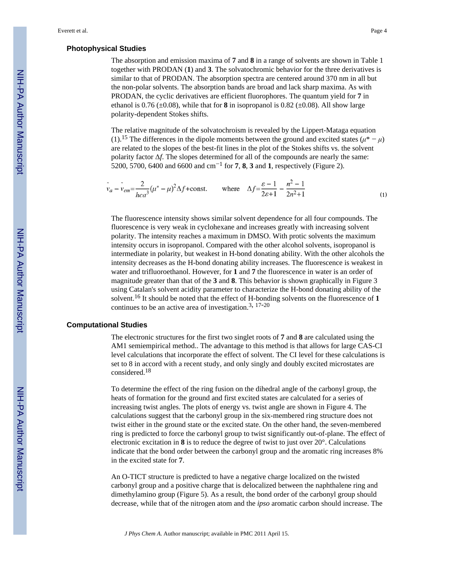#### **Photophysical Studies**

The absorption and emission maxima of **7** and **8** in a range of solvents are shown in Table 1 together with PRODAN (**1**) and **3**. The solvatochromic behavior for the three derivatives is similar to that of PRODAN. The absorption spectra are centered around 370 nm in all but the non-polar solvents. The absorption bands are broad and lack sharp maxima. As with PRODAN, the cyclic derivatives are efficient fluorophores. The quantum yield for **7** in ethanol is  $0.76 \ (\pm 0.08)$ , while that for **8** in isopropanol is  $0.82 \ (\pm 0.08)$ . All show large polarity-dependent Stokes shifts.

The relative magnitude of the solvatochroism is revealed by the Lippert-Mataga equation (1).<sup>15</sup> The differences in the dipole moments between the ground and excited states ( $\mu^* - \mu$ ) are related to the slopes of the best-fit lines in the plot of the Stokes shifts vs. the solvent polarity factor Δ*f*. The slopes determined for all of the compounds are nearly the same: 5200, 5700, 6400 and 6600 and cm−<sup>1</sup> for **7**, **8**, **3** and **1**, respectively (Figure 2).

$$
\tilde{v}_a - \tilde{v}_{em} = \frac{2}{hca^3} (\mu^* - \mu)^2 \Delta f + \text{const.} \qquad \text{where} \quad \Delta f = \frac{\varepsilon - 1}{2\varepsilon + 1} - \frac{n^2 - 1}{2n^2 + 1} \tag{1}
$$

The fluorescence intensity shows similar solvent dependence for all four compounds. The fluorescence is very weak in cyclohexane and increases greatly with increasing solvent polarity. The intensity reaches a maximum in DMSO. With protic solvents the maximum intensity occurs in isopropanol. Compared with the other alcohol solvents, isopropanol is intermediate in polarity, but weakest in H-bond donating ability. With the other alcohols the intensity decreases as the H-bond donating ability increases. The fluorescence is weakest in water and trifluoroethanol. However, for **1** and **7** the fluorescence in water is an order of magnitude greater than that of the **3** and **8**. This behavior is shown graphically in Figure 3 using Catalan's solvent acidity parameter to characterize the H-bond donating ability of the solvent.16 It should be noted that the effect of H-bonding solvents on the fluorescence of **1** continues to be an active area of investigation.<sup>3, 17-20</sup>

#### **Computational Studies**

The electronic structures for the first two singlet roots of **7** and **8** are calculated using the AM1 semiempirical method.. The advantage to this method is that allows for large CAS-CI level calculations that incorporate the effect of solvent. The CI level for these calculations is set to 8 in accord with a recent study, and only singly and doubly excited microstates are considered.<sup>18</sup>

To determine the effect of the ring fusion on the dihedral angle of the carbonyl group, the heats of formation for the ground and first excited states are calculated for a series of increasing twist angles. The plots of energy vs. twist angle are shown in Figure 4. The calculations suggest that the carbonyl group in the six-membered ring structure does not twist either in the ground state or the excited state. On the other hand, the seven-membered ring is predicted to force the carbonyl group to twist significantly out-of-plane. The effect of electronic excitation in **8** is to reduce the degree of twist to just over 20°. Calculations indicate that the bond order between the carbonyl group and the aromatic ring increases 8% in the excited state for **7**.

An O-TICT structure is predicted to have a negative charge localized on the twisted carbonyl group and a positive charge that is delocalized between the naphthalene ring and dimethylamino group (Figure 5). As a result, the bond order of the carbonyl group should decrease, while that of the nitrogen atom and the *ipso* aromatic carbon should increase. The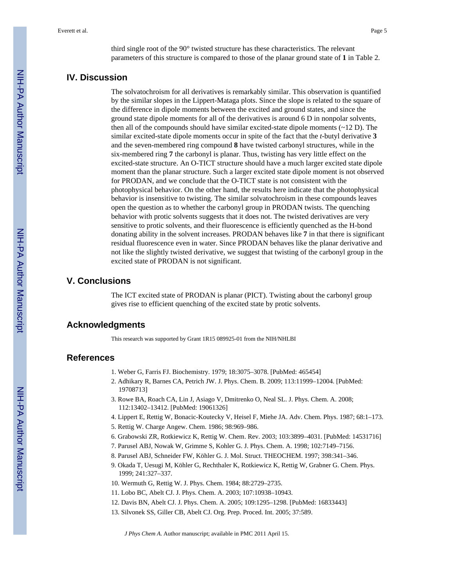third single root of the 90° twisted structure has these characteristics. The relevant parameters of this structure is compared to those of the planar ground state of **1** in Table 2.

# **IV. Discussion**

The solvatochroism for all derivatives is remarkably similar. This observation is quantified by the similar slopes in the Lippert-Mataga plots. Since the slope is related to the square of the difference in dipole moments between the excited and ground states, and since the ground state dipole moments for all of the derivatives is around 6 D in nonpolar solvents, then all of the compounds should have similar excited-state dipole moments  $(\sim 12 \text{ D})$ . The similar excited-state dipole moments occur in spite of the fact that the *t*-butyl derivative **3** and the seven-membered ring compound **8** have twisted carbonyl structures, while in the six-membered ring **7** the carbonyl is planar. Thus, twisting has very little effect on the excited-state structure. An O-TICT structure should have a much larger excited state dipole moment than the planar structure. Such a larger excited state dipole moment is not observed for PRODAN, and we conclude that the O-TICT state is not consistent with the photophysical behavior. On the other hand, the results here indicate that the photophysical behavior is insensitive to twisting. The similar solvatochroism in these compounds leaves open the question as to whether the carbonyl group in PRODAN twists. The quenching behavior with protic solvents suggests that it does not. The twisted derivatives are very sensitive to protic solvents, and their fluorescence is efficiently quenched as the H-bond donating ability in the solvent increases. PRODAN behaves like **7** in that there is significant residual fluorescence even in water. Since PRODAN behaves like the planar derivative and not like the slightly twisted derivative, we suggest that twisting of the carbonyl group in the excited state of PRODAN is not significant.

# **V. Conclusions**

The ICT excited state of PRODAN is planar (PICT). Twisting about the carbonyl group gives rise to efficient quenching of the excited state by protic solvents.

#### **Acknowledgments**

This research was supported by Grant 1R15 089925-01 from the NIH/NHLBI

#### **References**

- 1. Weber G, Farris FJ. Biochemistry. 1979; 18:3075–3078. [PubMed: 465454]
- 2. Adhikary R, Barnes CA, Petrich JW. J. Phys. Chem. B. 2009; 113:11999–12004. [PubMed: 19708713]
- 3. Rowe BA, Roach CA, Lin J, Asiago V, Dmitrenko O, Neal SL. J. Phys. Chem. A. 2008; 112:13402–13412. [PubMed: 19061326]
- 4. Lippert E, Rettig W, Bonacic-Koutecky V, Heisel F, Miehe JA. Adv. Chem. Phys. 1987; 68:1–173.
- 5. Rettig W. Charge Angew. Chem. 1986; 98:969–986.
- 6. Grabowski ZR, Rotkiewicz K, Rettig W. Chem. Rev. 2003; 103:3899–4031. [PubMed: 14531716]
- 7. Parusel ABJ, Nowak W, Grimme S, Kohler G. J. Phys. Chem. A. 1998; 102:7149–7156.
- 8. Parusel ABJ, Schneider FW, Köhler G. J. Mol. Struct. THEOCHEM. 1997; 398:341–346.
- 9. Okada T, Uesugi M, Köhler G, Rechthaler K, Rotkiewicz K, Rettig W, Grabner G. Chem. Phys. 1999; 241:327–337.
- 10. Wermuth G, Rettig W. J. Phys. Chem. 1984; 88:2729–2735.
- 11. Lobo BC, Abelt CJ. J. Phys. Chem. A. 2003; 107:10938–10943.
- 12. Davis BN, Abelt CJ. J. Phys. Chem. A. 2005; 109:1295–1298. [PubMed: 16833443]
- 13. Silvonek SS, Giller CB, Abelt CJ. Org. Prep. Proced. Int. 2005; 37:589.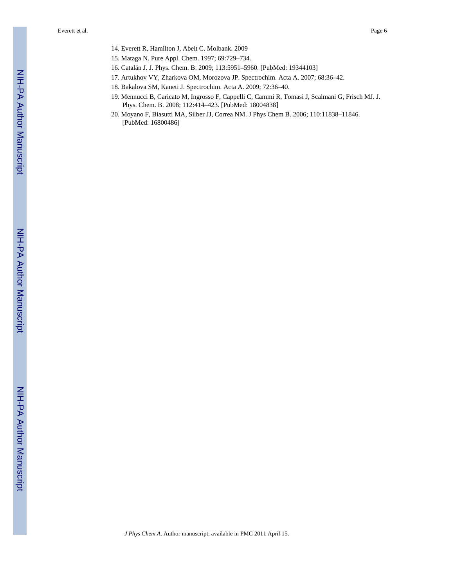- 14. Everett R, Hamilton J, Abelt C. Molbank. 2009
- 15. Mataga N. Pure Appl. Chem. 1997; 69:729–734.
- 16. Catalán J. J. Phys. Chem. B. 2009; 113:5951–5960. [PubMed: 19344103]
- 17. Artukhov VY, Zharkova OM, Morozova JP. Spectrochim. Acta A. 2007; 68:36–42.
- 18. Bakalova SM, Kaneti J. Spectrochim. Acta A. 2009; 72:36–40.
- 19. Mennucci B, Caricato M, Ingrosso F, Cappelli C, Cammi R, Tomasi J, Scalmani G, Frisch MJ. J. Phys. Chem. B. 2008; 112:414–423. [PubMed: 18004838]
- 20. Moyano F, Biasutti MA, Silber JJ, Correa NM. J Phys Chem B. 2006; 110:11838–11846. [PubMed: 16800486]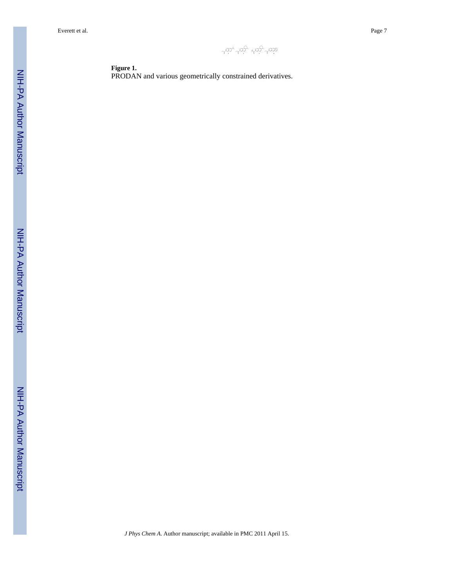wa too too voo

**Figure 1.** PRODAN and various geometrically constrained derivatives.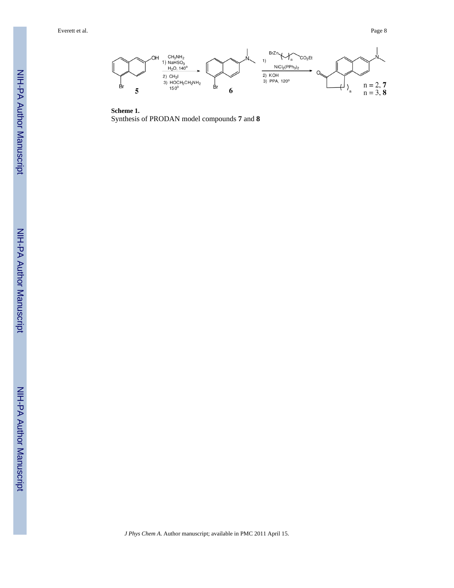

**Scheme 1.** Synthesis of PRODAN model compounds **7** and **8**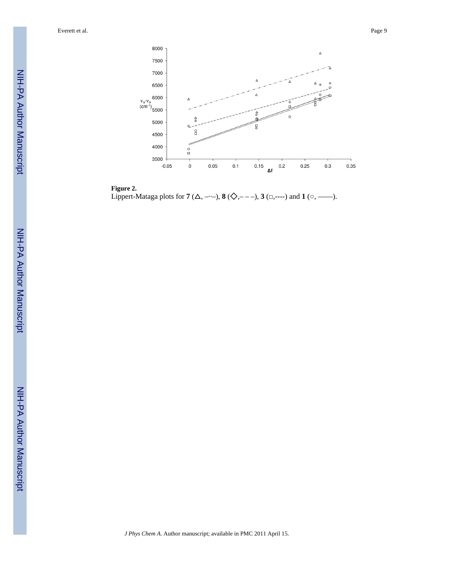

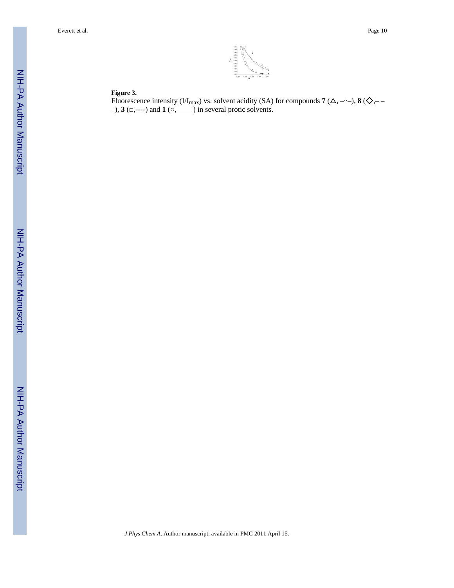

#### **Figure 3.**

Fluorescence intensity ( $VI_{\text{max}}$ ) vs. solvent acidity (SA) for compounds **7** ( $\Delta$ , ----), **8** ( $\diamondsuit$ ,-–), **3** (□,----) and **1** (○, ——) in several protic solvents.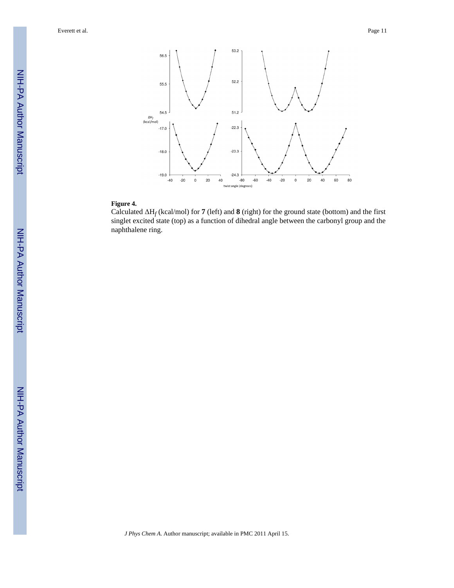

#### **Figure 4.**

Calculated ΔH*<sup>f</sup>* (kcal/mol) for **7** (left) and **8** (right) for the ground state (bottom) and the first singlet excited state (top) as a function of dihedral angle between the carbonyl group and the naphthalene ring.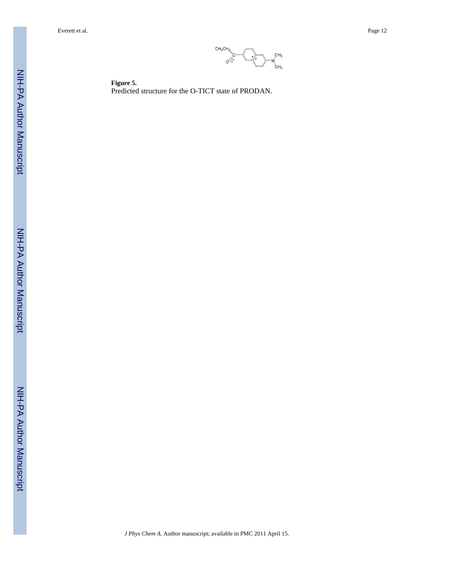

**Figure 5.** Predicted structure for the O-TICT state of PRODAN.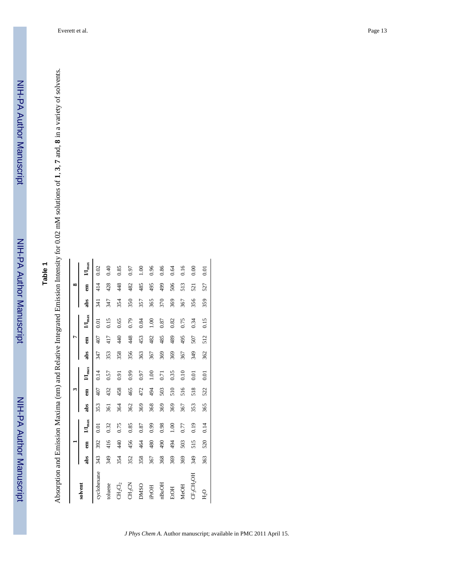|                    |     |     |                     |     |     |               |     |     |               |      | $\infty$ |                     |
|--------------------|-----|-----|---------------------|-----|-----|---------------|-----|-----|---------------|------|----------|---------------------|
| solvent            | abs | ā   | $\mathbf{H}_{\max}$ | abs | Ê   | $M_{\rm max}$ | abs | E   | $M_{\rm max}$ | abs  | Ê        | $\mathbf{H}_{\max}$ |
| cyclohexane        | 343 | 392 | Ξ                   | 353 |     | 0.14          | 347 |     | $\Xi$         | र्ज़ |          |                     |
| toluene            | 349 | 416 | 0.32                | 361 | 432 | 0.57          | 353 | 417 | 0.15          | 347  | 428      | 0.40                |
| $CH_2Cl_2$         | 354 | 440 | 0.75                | 364 | 458 | 0.91          | 358 | 440 | 0.65          | 354  | 448      | 0.85                |
| CH <sub>3</sub> CN | 352 | 456 | 0.85                | 362 | 465 | 0.99          | 356 | 448 | 0.79          | 350  | 482      | 0.97                |
| <b>DMSO</b>        | 358 | 464 | 0.87                | 369 | 472 | 0.97          | 363 | 453 | 0.84          | 357  | 485      | $\frac{8}{1}$       |
| iPrOH              | 367 | 480 | 0.99                | 368 | 494 | 00.1          | 367 | 482 | 1.00          | 365  | 495      | 0.96                |
| nBuOH              | 368 | 490 | 0.98                | 369 | 503 | 0.71          | 369 | 485 | 0.87          | 370  | 499      | 0.86                |
| <b>ErOH</b>        | 369 | 494 | 00.1                | 369 | 510 | 0.35          | 369 | 489 | 0.82          | 369  | 506      | 0.64                |
| MeOH               | 369 | 503 | 0.77                | 367 | 516 | 0.10          | 367 | 495 | 0.75          | 367  | 513      | 0.16                |
| CF3CH2OH           | 349 | 515 | 0.19                | 353 | 518 | 0.01          | 349 | 507 | 0.34          | 356  | 521      | 0.00                |
| $P_{2}$ O          | 363 | 520 | 0.14                | 365 | 522 | 0.01          | 362 | 512 | 0.15          | 359  | 527      | 0.01                |